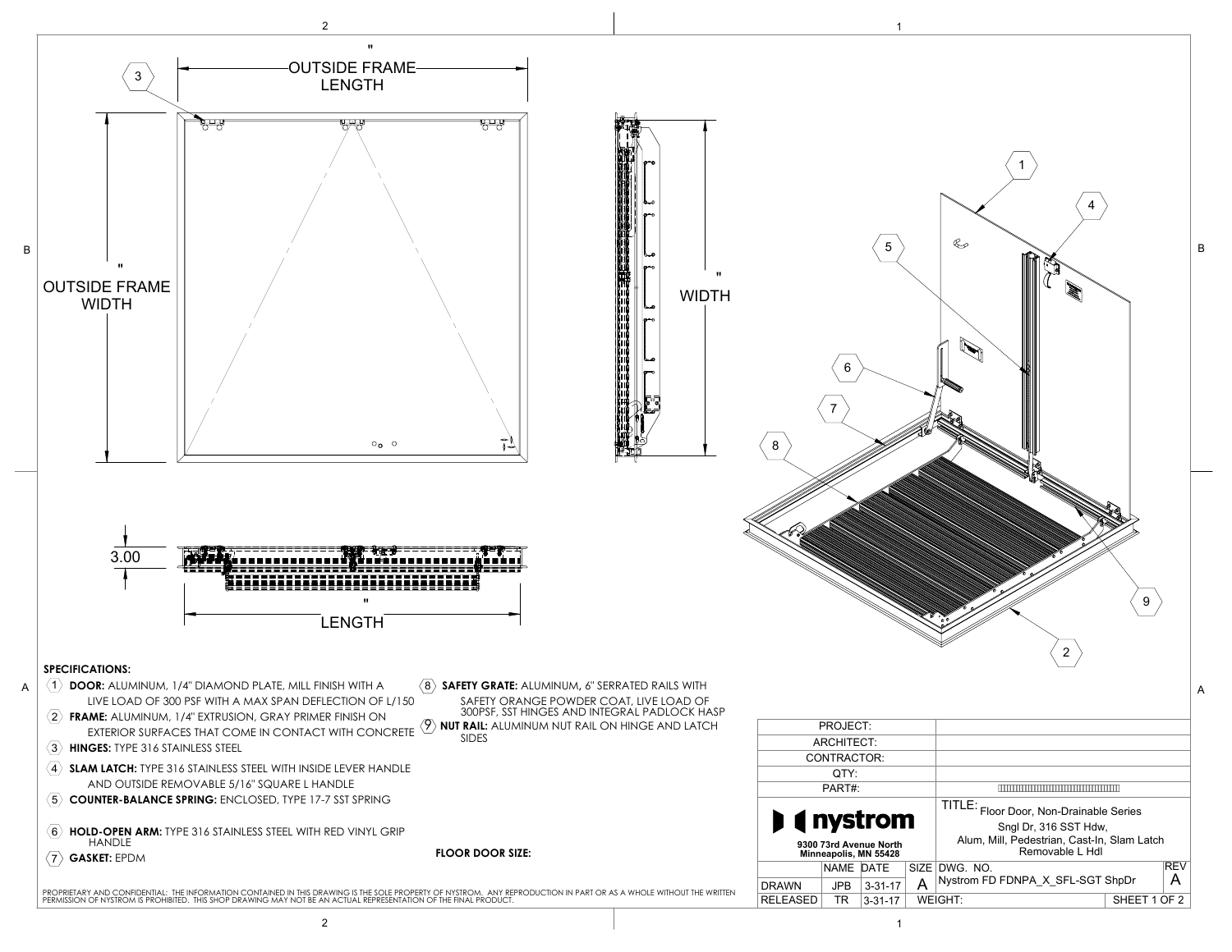38.00

38.00

FDNPA36X36SFL-SGT